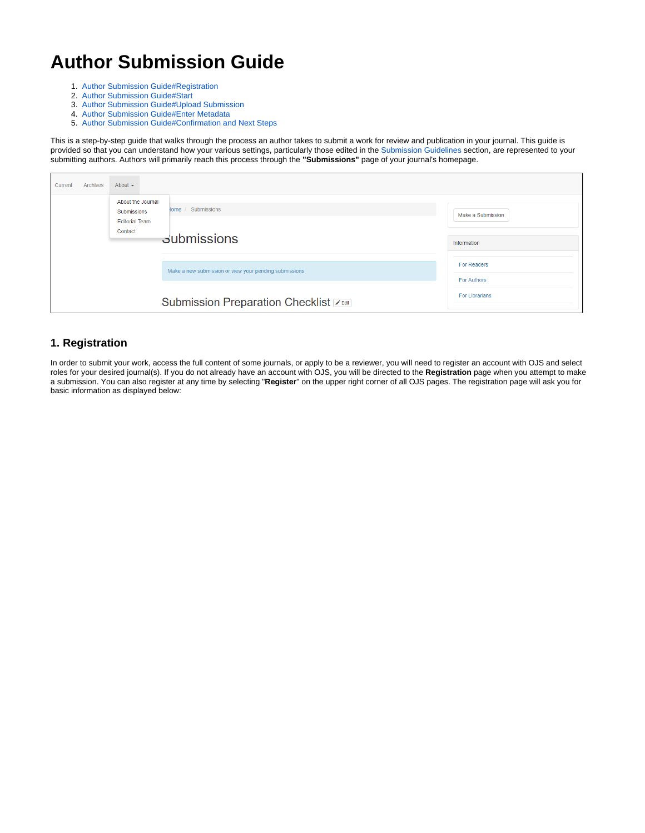# **Author Submission Guide**

- 1. [Author Submission Guide#Registration](https://wiki.dlib.indiana.edu/pages/viewpage.action?pageId=531700052#AuthorSubmissionGuide-Registration)
- 2. [Author Submission Guide#Start](https://wiki.dlib.indiana.edu/pages/viewpage.action?pageId=531700052#AuthorSubmissionGuide-Start)
- 3. [Author Submission Guide#Upload Submission](https://wiki.dlib.indiana.edu/pages/viewpage.action?pageId=531700052#AuthorSubmissionGuide-UploadSubmission)
- 4. [Author Submission Guide#Enter Metadata](https://wiki.dlib.indiana.edu/pages/viewpage.action?pageId=531700052#AuthorSubmissionGuide-EnterMetadata)
- 5. [Author Submission Guide#Confirmation and Next Steps](https://wiki.dlib.indiana.edu/pages/viewpage.action?pageId=531700052#AuthorSubmissionGuide-ConfirmationandNextSteps)

This is a step-by-step guide that walks through the process an author takes to submit a work for review and publication in your journal. This guide is provided so that you can understand how your various settings, particularly those edited in the [Submission Guidelines](https://wiki.dlib.indiana.edu/display/IUSW/Submission+Guidelines) section, are represented to your submitting authors. Authors will primarily reach this process through the **"Submissions"** page of your journal's homepage.

| Current | Archives | About $\sim$                                                     |                                                         |                                   |
|---------|----------|------------------------------------------------------------------|---------------------------------------------------------|-----------------------------------|
|         |          | About the Journal<br><b>Submissions</b><br><b>Editorial Team</b> | Home / Submissions                                      | Make a Submission                 |
|         |          | Contact                                                          | <b>Submissions</b>                                      | Information                       |
|         |          |                                                                  | Make a new submission or view your pending submissions. | For Readers<br><b>For Authors</b> |
|         |          |                                                                  | Submission Preparation Checklist                        | <b>For Librarians</b>             |

### **1. Registration**

In order to submit your work, access the full content of some journals, or apply to be a reviewer, you will need to register an account with OJS and select roles for your desired journal(s). If you do not already have an account with OJS, you will be directed to the **Registration** page when you attempt to make a submission. You can also register at any time by selecting "**Register**" on the upper right corner of all OJS pages. The registration page will ask you for basic information as displayed below: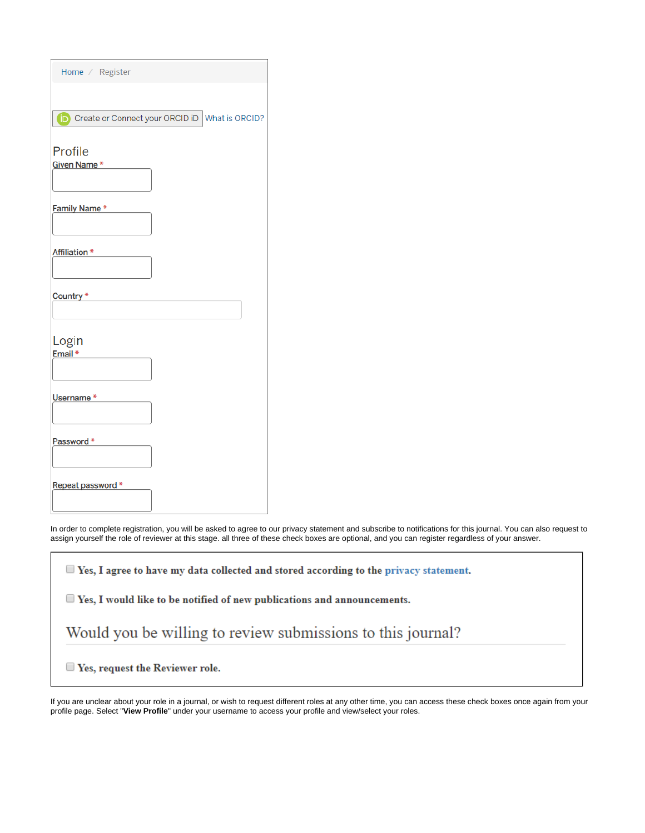| Home / Register                                         |
|---------------------------------------------------------|
|                                                         |
| <b>D</b> Create or Connect your ORCID iD What is ORCID? |
| Profile                                                 |
| Given Name*                                             |
| Family Name*                                            |
| Affiliation *                                           |
| Country*                                                |
| Login<br>Email *                                        |
| Username*                                               |
| Password*                                               |
| Repeat password*                                        |

In order to complete registration, you will be asked to agree to our privacy statement and subscribe to notifications for this journal. You can also request to assign yourself the role of reviewer at this stage. all three of these check boxes are optional, and you can register regardless of your answer.

| $\Box$ Yes, I agree to have my data collected and stored according to the privacy statement. |
|----------------------------------------------------------------------------------------------|
| $\blacksquare$ Yes, I would like to be notified of new publications and announcements.       |
| Would you be willing to review submissions to this journal?                                  |
| $\Box$ Yes, request the Reviewer role.                                                       |

If you are unclear about your role in a journal, or wish to request different roles at any other time, you can access these check boxes once again from your profile page. Select "**View Profile**" under your username to access your profile and view/select your roles.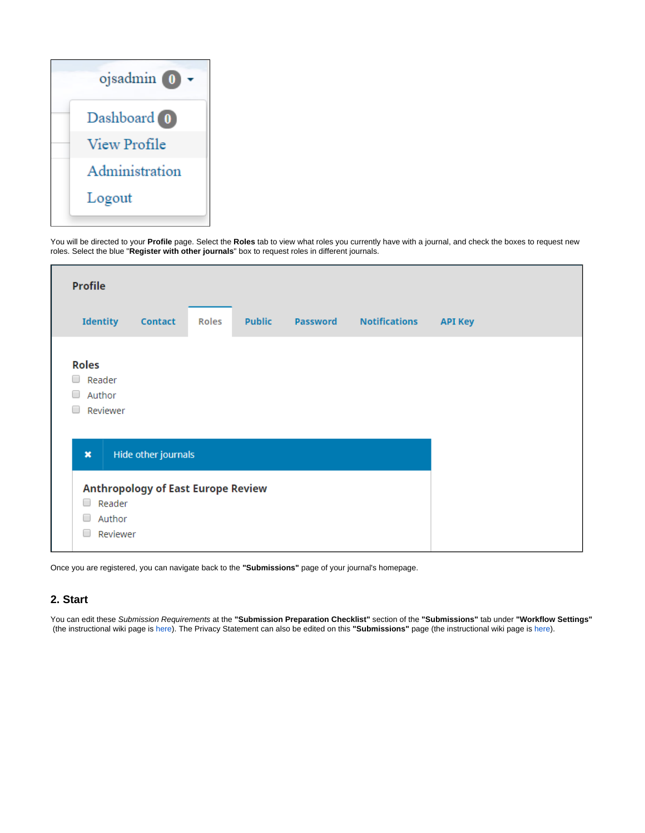

You will be directed to your **Profile** page. Select the **Roles** tab to view what roles you currently have with a journal, and check the boxes to request new roles. Select the blue "**Register with other journals**" box to request roles in different journals.



Once you are registered, you can navigate back to the **"Submissions"** page of your journal's homepage.

### **2. Start**

You can edit these Submission Requirements at the **"Submission Preparation Checklist"** section of the **"Submissions"** tab under **"Workflow Settings"** (the instructional wiki page is [here](https://wiki.dlib.indiana.edu/display/IUSW/Submission+Guidelines#SubmissionGuidelines-SubmissionPreparationChecklist)). The Privacy Statement can also be edited on this **"Submissions"** page (the instructional wiki page is [here](https://wiki.dlib.indiana.edu/display/IUSW/Submission+Guidelines#SubmissionGuidelines-PrivacyStatement)).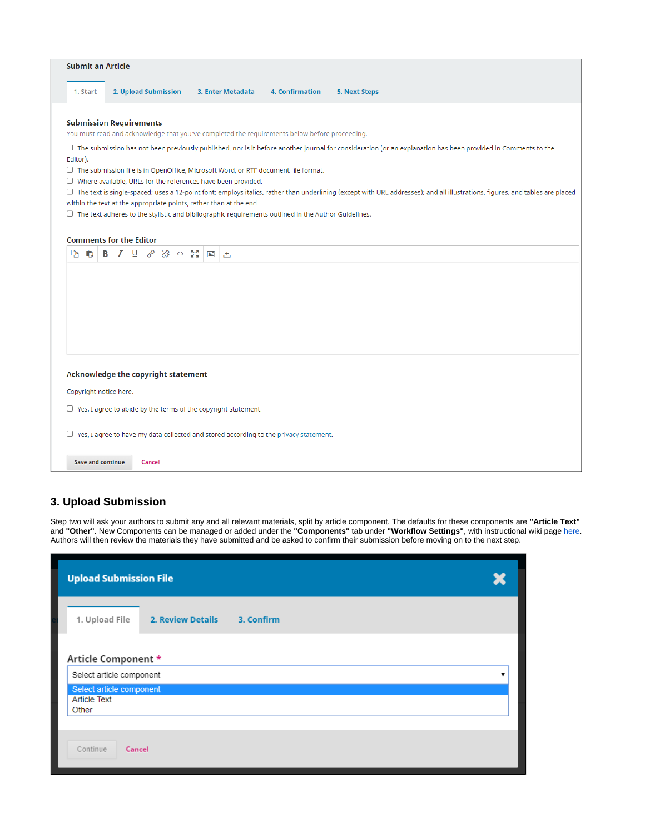| <b>Submit an Article</b>            |  |                                              |  |                                                                       |                                                                                                            |                                                                                                                                                                                |
|-------------------------------------|--|----------------------------------------------|--|-----------------------------------------------------------------------|------------------------------------------------------------------------------------------------------------|--------------------------------------------------------------------------------------------------------------------------------------------------------------------------------|
| 1. Start                            |  | 2. Upload Submission                         |  | 3. Enter Metadata                                                     | 4. Confirmation                                                                                            | <b>5. Next Steps</b>                                                                                                                                                           |
| <b>Submission Requirements</b>      |  |                                              |  |                                                                       |                                                                                                            |                                                                                                                                                                                |
|                                     |  |                                              |  |                                                                       | You must read and acknowledge that you've completed the requirements below before proceeding.              |                                                                                                                                                                                |
|                                     |  |                                              |  |                                                                       |                                                                                                            | $\Box$ The submission has not been previously published, nor is it before another journal for consideration (or an explanation has been provided in Comments to the            |
| Editor).                            |  |                                              |  |                                                                       |                                                                                                            |                                                                                                                                                                                |
|                                     |  |                                              |  |                                                                       | $\Box$ The submission file is in OpenOffice, Microsoft Word, or RTF document file format.                  |                                                                                                                                                                                |
|                                     |  |                                              |  | $\Box$ Where available, URLs for the references have been provided.   |                                                                                                            | □ The text is single-spaced; uses a 12-point font; employs italics, rather than underlining (except with URL addresses); and all illustrations, figures, and tables are placed |
|                                     |  |                                              |  | within the text at the appropriate points, rather than at the end.    |                                                                                                            |                                                                                                                                                                                |
|                                     |  |                                              |  |                                                                       | $\Box$ The text adheres to the stylistic and bibliographic requirements outlined in the Author Guidelines. |                                                                                                                                                                                |
|                                     |  |                                              |  |                                                                       |                                                                                                            |                                                                                                                                                                                |
| <b>Comments for the Editor</b>      |  |                                              |  |                                                                       |                                                                                                            |                                                                                                                                                                                |
| Ô<br>D'n.                           |  | <b>B</b> $I \subseteq \emptyset$ & $\circ$ M |  | 国西                                                                    |                                                                                                            |                                                                                                                                                                                |
|                                     |  |                                              |  |                                                                       |                                                                                                            |                                                                                                                                                                                |
|                                     |  |                                              |  |                                                                       |                                                                                                            |                                                                                                                                                                                |
|                                     |  |                                              |  |                                                                       |                                                                                                            |                                                                                                                                                                                |
|                                     |  |                                              |  |                                                                       |                                                                                                            |                                                                                                                                                                                |
|                                     |  |                                              |  |                                                                       |                                                                                                            |                                                                                                                                                                                |
|                                     |  |                                              |  |                                                                       |                                                                                                            |                                                                                                                                                                                |
|                                     |  |                                              |  |                                                                       |                                                                                                            |                                                                                                                                                                                |
|                                     |  |                                              |  |                                                                       |                                                                                                            |                                                                                                                                                                                |
| Acknowledge the copyright statement |  |                                              |  |                                                                       |                                                                                                            |                                                                                                                                                                                |
| Copyright notice here.              |  |                                              |  |                                                                       |                                                                                                            |                                                                                                                                                                                |
|                                     |  |                                              |  | $\Box$ Yes, I agree to abide by the terms of the copyright statement. |                                                                                                            |                                                                                                                                                                                |
|                                     |  |                                              |  |                                                                       | $\Box$ Yes, I agree to have my data collected and stored according to the privacy statement.               |                                                                                                                                                                                |
| <b>Save and continue</b>            |  | Cancel                                       |  |                                                                       |                                                                                                            |                                                                                                                                                                                |

# **3. Upload Submission**

Step two will ask your authors to submit any and all relevant materials, split by article component. The defaults for these components are **"Article Text"** and **"Other"**. New Components can be managed or added under the **"Components"** tab under **"Workflow Settings"**, with instructional wiki page [here.](https://wiki.dlib.indiana.edu/display/IUSW/Components) Authors will then review the materials they have submitted and be asked to confirm their submission before moving on to the next step.

| <b>Upload Submission File</b>                            |                                 |  |  |  |  |  |  |  |
|----------------------------------------------------------|---------------------------------|--|--|--|--|--|--|--|
| 1. Upload File                                           | 2. Review Details<br>3. Confirm |  |  |  |  |  |  |  |
| Article Component *<br>Select article component          |                                 |  |  |  |  |  |  |  |
| Select article component<br><b>Article Text</b><br>Other |                                 |  |  |  |  |  |  |  |
| Continue<br>Cancel                                       |                                 |  |  |  |  |  |  |  |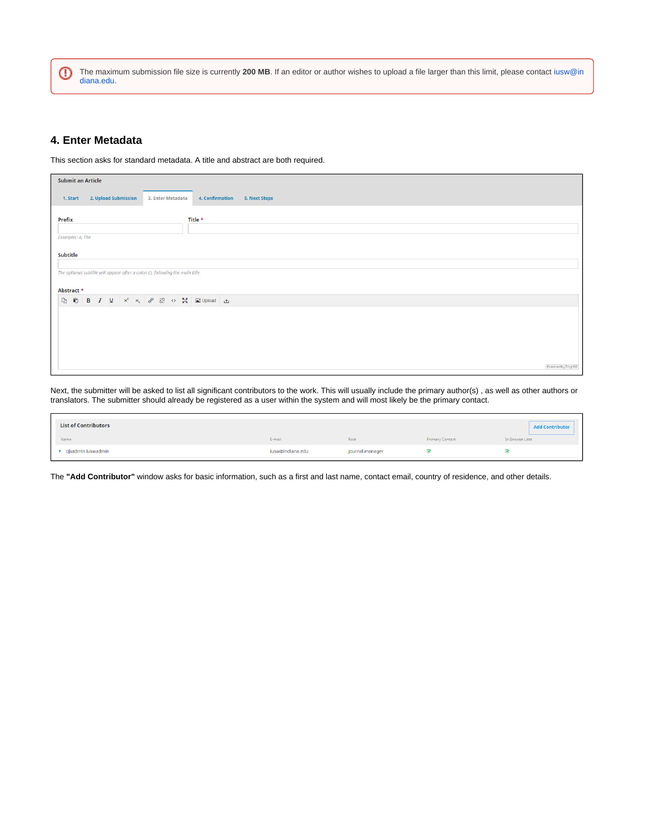℗ The maximum submission file size is currently **200 MB**. If an editor or author wishes to upload a file larger than this limit, please contact [iusw@in](mailto:iusw@indiana.edu) [diana.edu.](mailto:iusw@indiana.edu)

### **4. Enter Metadata**

This section asks for standard metadata. A title and abstract are both required.

| <b>Submit an Article</b> |                                                                                                                                                                |                   |                                  |                    |
|--------------------------|----------------------------------------------------------------------------------------------------------------------------------------------------------------|-------------------|----------------------------------|--------------------|
| 1. Start                 | 2. Upload Submission                                                                                                                                           | 3. Enter Metadata | 4. Confirmation<br>5. Next Steps |                    |
| Prefix                   |                                                                                                                                                                |                   | Title *                          |                    |
| Examples: A. The         |                                                                                                                                                                |                   |                                  |                    |
| <b>Subtitle</b>          |                                                                                                                                                                |                   |                                  |                    |
|                          | The optional subtitle will appear after a colon (:), following the main title.                                                                                 |                   |                                  |                    |
| Abstract *               |                                                                                                                                                                |                   |                                  |                    |
| D O                      | <b>B</b> $I \subseteq \begin{bmatrix} x^2 & x_2 \end{bmatrix}$ $\mathcal{P} \cong \mathcal{P} \cong \begin{bmatrix} 2 \\ 2 \end{bmatrix}$ $\Box$ Upload $\Box$ |                   |                                  |                    |
|                          |                                                                                                                                                                |                   |                                  |                    |
|                          |                                                                                                                                                                |                   |                                  |                    |
|                          |                                                                                                                                                                |                   |                                  |                    |
|                          |                                                                                                                                                                |                   |                                  | Povered by TinyMCE |

Next, the submitter will be asked to list all significant contributors to the work. This will usually include the primary author(s), as well as other authors or translators. The submitter should already be registered as a user within the system and will most likely be the primary contact.

| <b>List of Contributors</b> |                  |                 |                        | <b>Add Contributor</b> |
|-----------------------------|------------------|-----------------|------------------------|------------------------|
| Name                        | E-mail           | Role            | <b>Primary Contact</b> | In Browse Lists        |
| ojsadmin iuswadmin          | iusw@indiana.edu | Journal manager |                        |                        |

The **"Add Contributor"** window asks for basic information, such as a first and last name, contact email, country of residence, and other details.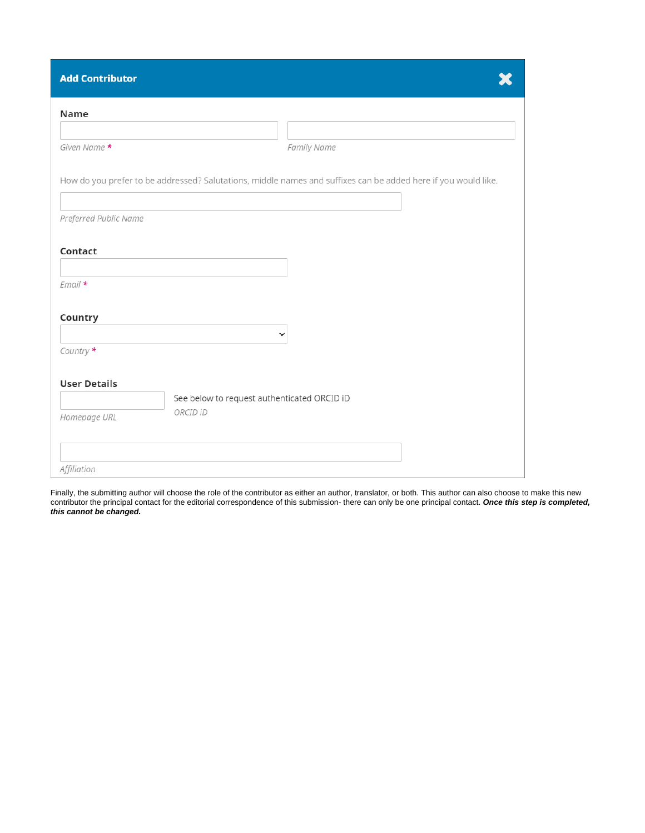| <b>Add Contributor</b> |                                                                                                                |
|------------------------|----------------------------------------------------------------------------------------------------------------|
| Name                   |                                                                                                                |
| Given Name *           | Family Name                                                                                                    |
|                        | How do you prefer to be addressed? Salutations, middle names and suffixes can be added here if you would like. |
| Preferred Public Name  |                                                                                                                |
| Contact                |                                                                                                                |
| $Email*$               |                                                                                                                |
| Country                |                                                                                                                |
| Country *              | $\checkmark$                                                                                                   |
| <b>User Details</b>    | See below to request authenticated ORCID iD                                                                    |
| Homepage URL           | ORCID iD                                                                                                       |
|                        |                                                                                                                |
| Affiliation            |                                                                                                                |

Finally, the submitting author will choose the role of the contributor as either an author, translator, or both. This author can also choose to make this new contributor the principal contact for the editorial correspondence of this submission- there can only be one principal contact. **Once this step is completed, this cannot be changed.**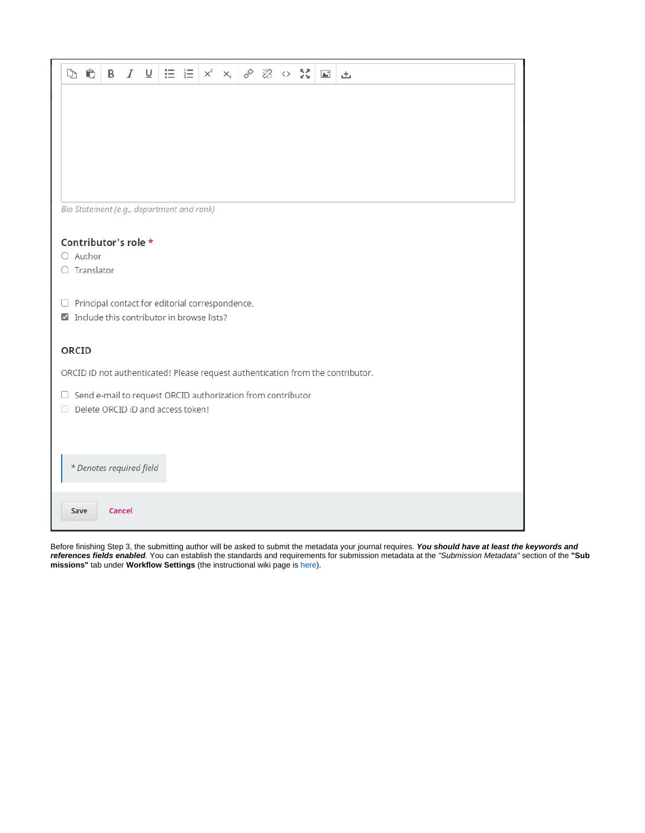| d o                                                                             | <b>B</b> $I \subseteq \equiv \equiv  x^2 \times x^2 $ & $\otimes \cong x^2$ $\equiv  x^2 \times x^2 $   |  |  |  |  |  |  |  |  |  |  |  |
|---------------------------------------------------------------------------------|---------------------------------------------------------------------------------------------------------|--|--|--|--|--|--|--|--|--|--|--|
|                                                                                 |                                                                                                         |  |  |  |  |  |  |  |  |  |  |  |
|                                                                                 |                                                                                                         |  |  |  |  |  |  |  |  |  |  |  |
|                                                                                 |                                                                                                         |  |  |  |  |  |  |  |  |  |  |  |
|                                                                                 |                                                                                                         |  |  |  |  |  |  |  |  |  |  |  |
|                                                                                 |                                                                                                         |  |  |  |  |  |  |  |  |  |  |  |
| Bio Statement (e.g., department and rank)                                       |                                                                                                         |  |  |  |  |  |  |  |  |  |  |  |
|                                                                                 |                                                                                                         |  |  |  |  |  |  |  |  |  |  |  |
| Contributor's role *<br>$\bigcirc$ Author                                       |                                                                                                         |  |  |  |  |  |  |  |  |  |  |  |
| $\bigcirc$ Translator                                                           |                                                                                                         |  |  |  |  |  |  |  |  |  |  |  |
| $\Box$ Principal contact for editorial correspondence.                          |                                                                                                         |  |  |  |  |  |  |  |  |  |  |  |
| Include this contributor in browse lists?                                       |                                                                                                         |  |  |  |  |  |  |  |  |  |  |  |
| ORCID                                                                           |                                                                                                         |  |  |  |  |  |  |  |  |  |  |  |
| ORCID iD not authenticated! Please request authentication from the contributor. |                                                                                                         |  |  |  |  |  |  |  |  |  |  |  |
|                                                                                 |                                                                                                         |  |  |  |  |  |  |  |  |  |  |  |
|                                                                                 | $\Box$ Send e-mail to request ORCID authorization from contributor<br>Delete ORCID iD and access token! |  |  |  |  |  |  |  |  |  |  |  |
|                                                                                 |                                                                                                         |  |  |  |  |  |  |  |  |  |  |  |
|                                                                                 |                                                                                                         |  |  |  |  |  |  |  |  |  |  |  |
|                                                                                 | * Denotes required field                                                                                |  |  |  |  |  |  |  |  |  |  |  |
| Save                                                                            | Cancel                                                                                                  |  |  |  |  |  |  |  |  |  |  |  |

Before finishing Step 3, the submitting author will be asked to submit the metadata your journal requires. **You should have at least the keywords and references fields enabled**. You can establish the standards and requirements for submission metadata at the "Submission Metadata" section of the **"Sub missions"** tab under **Workflow Settings** (the instructional wiki page i[s here](https://wiki.dlib.indiana.edu/display/IUSW/Submission+Guidelines#SubmissionGuidelines-SubmissionMetadata)).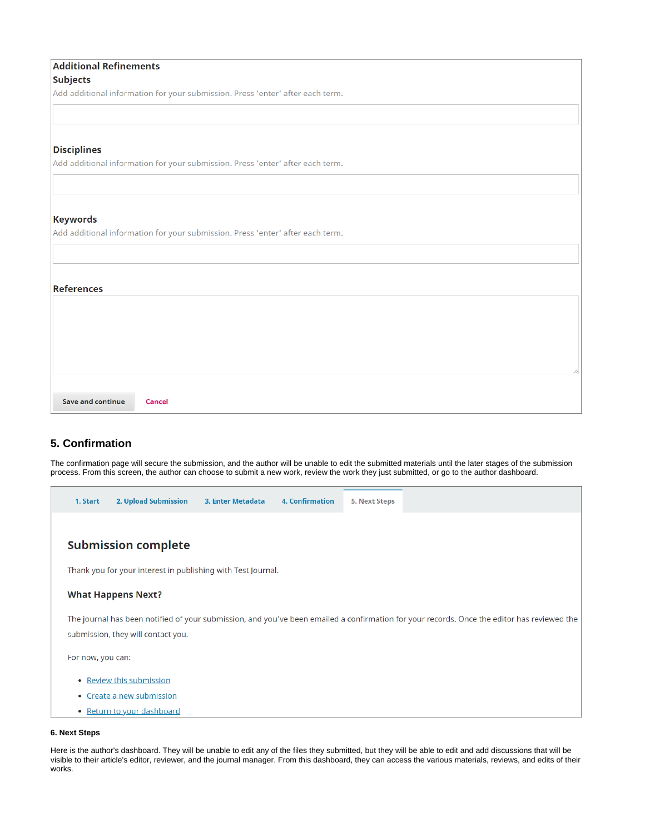| <b>Additional Refinements</b>                                                  |
|--------------------------------------------------------------------------------|
| <b>Subjects</b>                                                                |
| Add additional information for your submission. Press 'enter' after each term. |
|                                                                                |
|                                                                                |
| <b>Disciplines</b>                                                             |
| Add additional information for your submission. Press 'enter' after each term. |
|                                                                                |
| <b>Keywords</b>                                                                |
| Add additional information for your submission. Press 'enter' after each term. |
|                                                                                |
|                                                                                |
|                                                                                |
| <b>References</b>                                                              |
|                                                                                |
|                                                                                |
|                                                                                |
|                                                                                |
|                                                                                |
|                                                                                |
| <b>Save and continue</b><br><b>Cancel</b>                                      |

## **5. Confirmation**

The confirmation page will secure the submission, and the author will be unable to edit the submitted materials until the later stages of the submission process. From this screen, the author can choose to submit a new work, review the work they just submitted, or go to the author dashboard.

| 1. Start          | 2. Upload Submission                                         | 3. Enter Metadata | <b>4. Confirmation</b> | 5. Next Steps |                                                                                                                                             |
|-------------------|--------------------------------------------------------------|-------------------|------------------------|---------------|---------------------------------------------------------------------------------------------------------------------------------------------|
|                   |                                                              |                   |                        |               |                                                                                                                                             |
|                   | <b>Submission complete</b>                                   |                   |                        |               |                                                                                                                                             |
|                   | Thank you for your interest in publishing with Test Journal. |                   |                        |               |                                                                                                                                             |
|                   | <b>What Happens Next?</b>                                    |                   |                        |               |                                                                                                                                             |
|                   |                                                              |                   |                        |               | The journal has been notified of your submission, and you've been emailed a confirmation for your records. Once the editor has reviewed the |
|                   | submission, they will contact you.                           |                   |                        |               |                                                                                                                                             |
| For now, you can: |                                                              |                   |                        |               |                                                                                                                                             |
|                   | • Review this submission                                     |                   |                        |               |                                                                                                                                             |
|                   | • Create a new submission                                    |                   |                        |               |                                                                                                                                             |
|                   | • Return to your dashboard                                   |                   |                        |               |                                                                                                                                             |

#### **6. Next Steps**

Here is the author's dashboard. They will be unable to edit any of the files they submitted, but they will be able to edit and add discussions that will be visible to their article's editor, reviewer, and the journal manager. From this dashboard, they can access the various materials, reviews, and edits of their works.